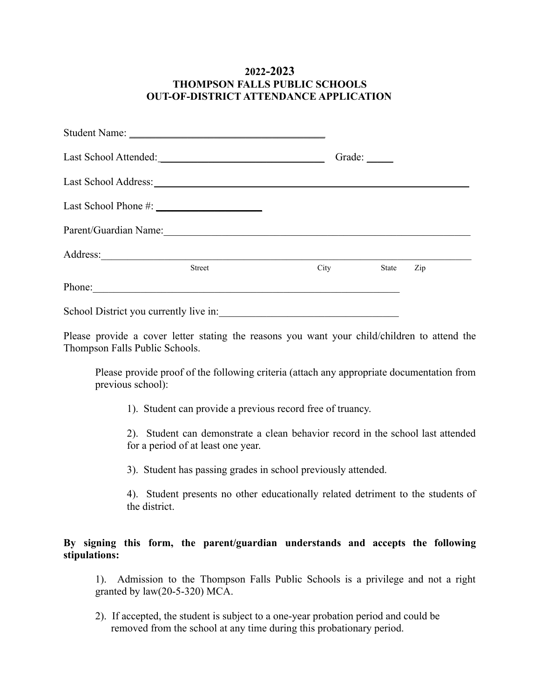## **2022-2023 THOMPSON FALLS PUBLIC SCHOOLS OUT-OF-DISTRICT ATTENDANCE APPLICATION**

| Last School Attended:                  |        | Grade: _______        |       |     |
|----------------------------------------|--------|-----------------------|-------|-----|
|                                        |        |                       |       |     |
|                                        |        |                       |       |     |
|                                        |        | Parent/Guardian Name: |       |     |
|                                        |        |                       |       |     |
|                                        | Street | City                  | State | Zip |
|                                        |        | Phone:                |       |     |
| School District you currently live in: |        |                       |       |     |

Please provide a cover letter stating the reasons you want your child/children to attend the Thompson Falls Public Schools.

Please provide proof of the following criteria (attach any appropriate documentation from previous school):

1). Student can provide a previous record free of truancy.

2). Student can demonstrate a clean behavior record in the school last attended for a period of at least one year.

3). Student has passing grades in school previously attended.

4). Student presents no other educationally related detriment to the students of the district.

## **By signing this form, the parent/guardian understands and accepts the following stipulations:**

1). Admission to the Thompson Falls Public Schools is a privilege and not a right granted by law(20-5-320) MCA.

2). If accepted, the student is subject to a one-year probation period and could be removed from the school at any time during this probationary period.